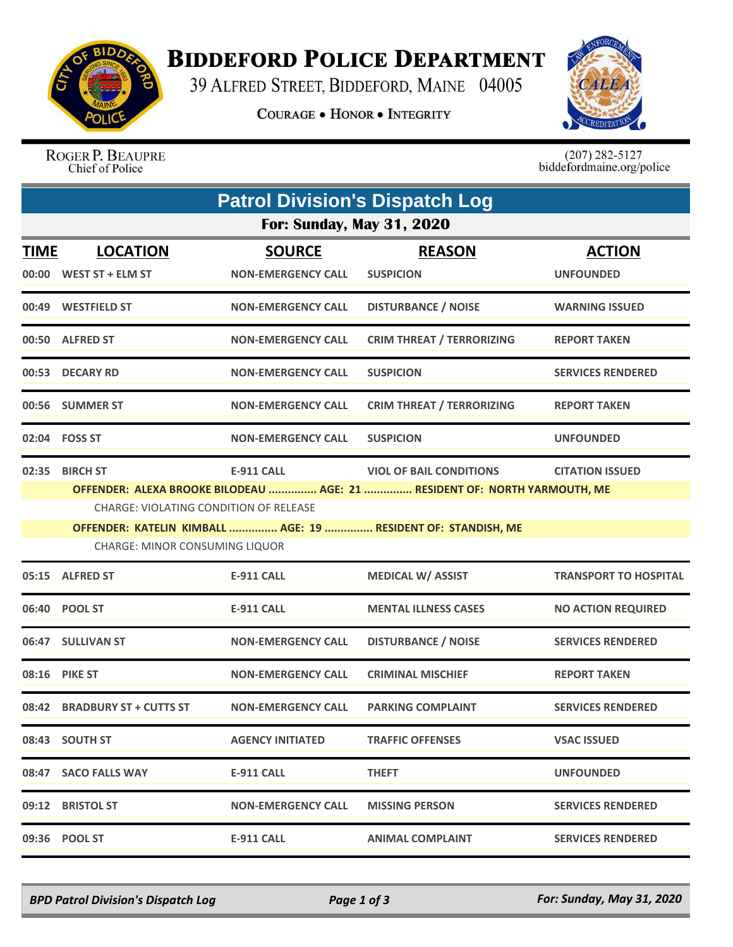

## **BIDDEFORD POLICE DEPARTMENT**

39 ALFRED STREET, BIDDEFORD, MAINE 04005

**COURAGE . HONOR . INTEGRITY** 



ROGER P. BEAUPRE Chief of Police

 $(207)$  282-5127<br>biddefordmaine.org/police

| <b>Patrol Division's Dispatch Log</b> |                                                                                                                                                                                                                                                                                                                                  |                                            |                                   |                                   |  |  |  |  |
|---------------------------------------|----------------------------------------------------------------------------------------------------------------------------------------------------------------------------------------------------------------------------------------------------------------------------------------------------------------------------------|--------------------------------------------|-----------------------------------|-----------------------------------|--|--|--|--|
| <b>For: Sunday, May 31, 2020</b>      |                                                                                                                                                                                                                                                                                                                                  |                                            |                                   |                                   |  |  |  |  |
| <b>TIME</b>                           | <b>LOCATION</b><br>00:00 WEST ST + ELM ST                                                                                                                                                                                                                                                                                        | <b>SOURCE</b><br><b>NON-EMERGENCY CALL</b> | <b>REASON</b><br><b>SUSPICION</b> | <b>ACTION</b><br><b>UNFOUNDED</b> |  |  |  |  |
|                                       | 00:49 WESTFIELD ST                                                                                                                                                                                                                                                                                                               | <b>NON-EMERGENCY CALL</b>                  | <b>DISTURBANCE / NOISE</b>        | <b>WARNING ISSUED</b>             |  |  |  |  |
|                                       | 00:50 ALFRED ST                                                                                                                                                                                                                                                                                                                  | <b>NON-EMERGENCY CALL</b>                  | <b>CRIM THREAT / TERRORIZING</b>  | <b>REPORT TAKEN</b>               |  |  |  |  |
|                                       | 00:53 DECARY RD                                                                                                                                                                                                                                                                                                                  | <b>NON-EMERGENCY CALL</b>                  | <b>SUSPICION</b>                  | <b>SERVICES RENDERED</b>          |  |  |  |  |
|                                       | 00:56 SUMMER ST                                                                                                                                                                                                                                                                                                                  | <b>NON-EMERGENCY CALL</b>                  | <b>CRIM THREAT / TERRORIZING</b>  | <b>REPORT TAKEN</b>               |  |  |  |  |
|                                       | 02:04 FOSS ST                                                                                                                                                                                                                                                                                                                    | <b>NON-EMERGENCY CALL</b>                  | <b>SUSPICION</b>                  | <b>UNFOUNDED</b>                  |  |  |  |  |
|                                       | 02:35 BIRCH ST<br><b>E-911 CALL</b><br><b>VIOL OF BAIL CONDITIONS</b><br><b>CITATION ISSUED</b><br>OFFENDER: ALEXA BROOKE BILODEAU  AGE: 21  RESIDENT OF: NORTH YARMOUTH, ME<br>CHARGE: VIOLATING CONDITION OF RELEASE<br>OFFENDER: KATELIN KIMBALL  AGE: 19  RESIDENT OF: STANDISH, ME<br><b>CHARGE: MINOR CONSUMING LIQUOR</b> |                                            |                                   |                                   |  |  |  |  |
|                                       | 05:15 ALFRED ST                                                                                                                                                                                                                                                                                                                  | <b>E-911 CALL</b>                          | <b>MEDICAL W/ ASSIST</b>          | <b>TRANSPORT TO HOSPITAL</b>      |  |  |  |  |
|                                       | 06:40 POOL ST                                                                                                                                                                                                                                                                                                                    | <b>E-911 CALL</b>                          | <b>MENTAL ILLNESS CASES</b>       | <b>NO ACTION REQUIRED</b>         |  |  |  |  |
|                                       | 06:47 SULLIVAN ST                                                                                                                                                                                                                                                                                                                | <b>NON-EMERGENCY CALL</b>                  | <b>DISTURBANCE / NOISE</b>        | <b>SERVICES RENDERED</b>          |  |  |  |  |
|                                       | 08:16 PIKE ST                                                                                                                                                                                                                                                                                                                    | <b>NON-EMERGENCY CALL</b>                  | <b>CRIMINAL MISCHIEF</b>          | <b>REPORT TAKEN</b>               |  |  |  |  |
|                                       | 08:42 BRADBURY ST + CUTTS ST                                                                                                                                                                                                                                                                                                     | <b>NON-EMERGENCY CALL</b>                  | <b>PARKING COMPLAINT</b>          | <b>SERVICES RENDERED</b>          |  |  |  |  |
|                                       | 08:43 SOUTH ST                                                                                                                                                                                                                                                                                                                   | <b>AGENCY INITIATED</b>                    | <b>TRAFFIC OFFENSES</b>           | <b>VSAC ISSUED</b>                |  |  |  |  |
|                                       | 08:47 SACO FALLS WAY                                                                                                                                                                                                                                                                                                             | E-911 CALL                                 | <b>THEFT</b>                      | <b>UNFOUNDED</b>                  |  |  |  |  |
|                                       | 09:12 BRISTOL ST                                                                                                                                                                                                                                                                                                                 | <b>NON-EMERGENCY CALL</b>                  | <b>MISSING PERSON</b>             | <b>SERVICES RENDERED</b>          |  |  |  |  |
|                                       | 09:36 POOL ST                                                                                                                                                                                                                                                                                                                    | <b>E-911 CALL</b>                          | <b>ANIMAL COMPLAINT</b>           | <b>SERVICES RENDERED</b>          |  |  |  |  |

*BPD Patrol Division's Dispatch Log Page 1 of 3 For: Sunday, May 31, 2020*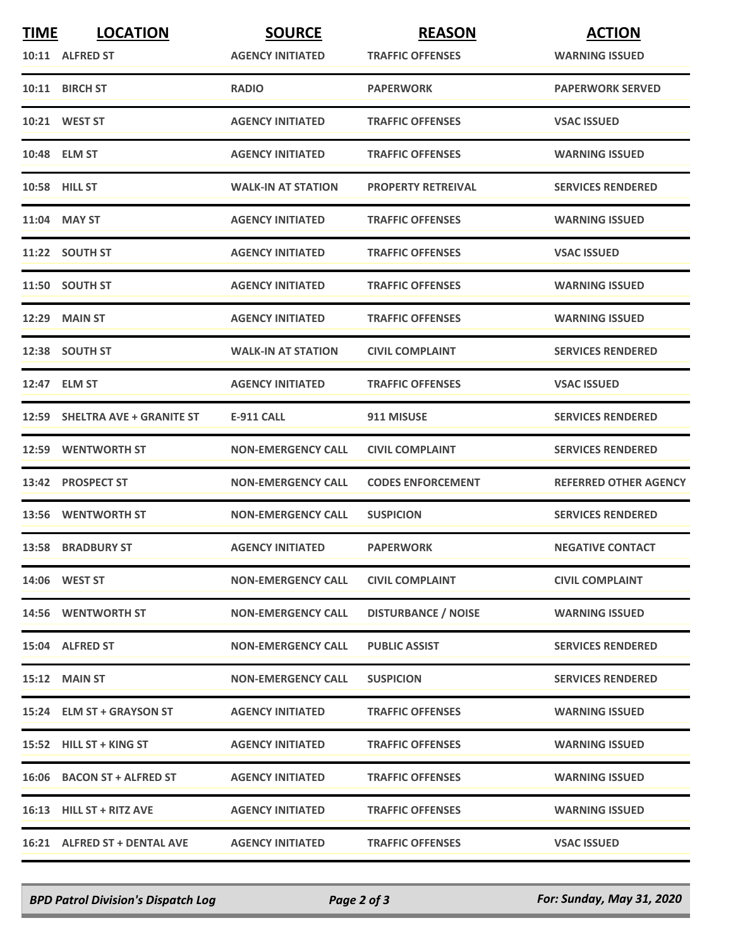| <b>TIME</b> | <b>LOCATION</b>                | <b>SOURCE</b>             | <b>REASON</b>              | <b>ACTION</b>                |
|-------------|--------------------------------|---------------------------|----------------------------|------------------------------|
|             | 10:11 ALFRED ST                | <b>AGENCY INITIATED</b>   | <b>TRAFFIC OFFENSES</b>    | <b>WARNING ISSUED</b>        |
|             | 10:11 BIRCH ST                 | <b>RADIO</b>              | <b>PAPERWORK</b>           | <b>PAPERWORK SERVED</b>      |
|             | 10:21 WEST ST                  | <b>AGENCY INITIATED</b>   | <b>TRAFFIC OFFENSES</b>    | <b>VSAC ISSUED</b>           |
|             | 10:48 ELM ST                   | <b>AGENCY INITIATED</b>   | <b>TRAFFIC OFFENSES</b>    | <b>WARNING ISSUED</b>        |
|             | <b>10:58 HILL ST</b>           | <b>WALK-IN AT STATION</b> | <b>PROPERTY RETREIVAL</b>  | <b>SERVICES RENDERED</b>     |
|             | 11:04 MAY ST                   | <b>AGENCY INITIATED</b>   | <b>TRAFFIC OFFENSES</b>    | <b>WARNING ISSUED</b>        |
|             | 11:22 SOUTH ST                 | <b>AGENCY INITIATED</b>   | <b>TRAFFIC OFFENSES</b>    | <b>VSAC ISSUED</b>           |
|             | 11:50 SOUTH ST                 | <b>AGENCY INITIATED</b>   | <b>TRAFFIC OFFENSES</b>    | <b>WARNING ISSUED</b>        |
|             | 12:29 MAIN ST                  | <b>AGENCY INITIATED</b>   | <b>TRAFFIC OFFENSES</b>    | <b>WARNING ISSUED</b>        |
|             | 12:38 SOUTH ST                 | <b>WALK-IN AT STATION</b> | <b>CIVIL COMPLAINT</b>     | <b>SERVICES RENDERED</b>     |
|             | 12:47 ELM ST                   | <b>AGENCY INITIATED</b>   | <b>TRAFFIC OFFENSES</b>    | <b>VSAC ISSUED</b>           |
|             | 12:59 SHELTRA AVE + GRANITE ST | <b>E-911 CALL</b>         | 911 MISUSE                 | <b>SERVICES RENDERED</b>     |
|             | 12:59 WENTWORTH ST             | <b>NON-EMERGENCY CALL</b> | <b>CIVIL COMPLAINT</b>     | <b>SERVICES RENDERED</b>     |
|             | 13:42 PROSPECT ST              | <b>NON-EMERGENCY CALL</b> | <b>CODES ENFORCEMENT</b>   | <b>REFERRED OTHER AGENCY</b> |
|             | 13:56 WENTWORTH ST             | <b>NON-EMERGENCY CALL</b> | <b>SUSPICION</b>           | <b>SERVICES RENDERED</b>     |
|             | <b>13:58 BRADBURY ST</b>       | <b>AGENCY INITIATED</b>   | <b>PAPERWORK</b>           | <b>NEGATIVE CONTACT</b>      |
|             | 14:06 WEST ST                  | <b>NON-EMERGENCY CALL</b> | <b>CIVIL COMPLAINT</b>     | <b>CIVIL COMPLAINT</b>       |
|             | 14:56 WENTWORTH ST             | <b>NON-EMERGENCY CALL</b> | <b>DISTURBANCE / NOISE</b> | <b>WARNING ISSUED</b>        |
|             | 15:04 ALFRED ST                | <b>NON-EMERGENCY CALL</b> | <b>PUBLIC ASSIST</b>       | <b>SERVICES RENDERED</b>     |
|             | <b>15:12 MAIN ST</b>           | <b>NON-EMERGENCY CALL</b> | <b>SUSPICION</b>           | <b>SERVICES RENDERED</b>     |
|             | 15:24 ELM ST + GRAYSON ST      | <b>AGENCY INITIATED</b>   | <b>TRAFFIC OFFENSES</b>    | <b>WARNING ISSUED</b>        |
|             | 15:52 HILL ST + KING ST        | <b>AGENCY INITIATED</b>   | <b>TRAFFIC OFFENSES</b>    | <b>WARNING ISSUED</b>        |
|             | 16:06 BACON ST + ALFRED ST     | <b>AGENCY INITIATED</b>   | <b>TRAFFIC OFFENSES</b>    | <b>WARNING ISSUED</b>        |
|             | 16:13 HILL ST + RITZ AVE       | <b>AGENCY INITIATED</b>   | <b>TRAFFIC OFFENSES</b>    | <b>WARNING ISSUED</b>        |
|             | 16:21 ALFRED ST + DENTAL AVE   | <b>AGENCY INITIATED</b>   | <b>TRAFFIC OFFENSES</b>    | <b>VSAC ISSUED</b>           |

*BPD Patrol Division's Dispatch Log Page 2 of 3 For: Sunday, May 31, 2020*